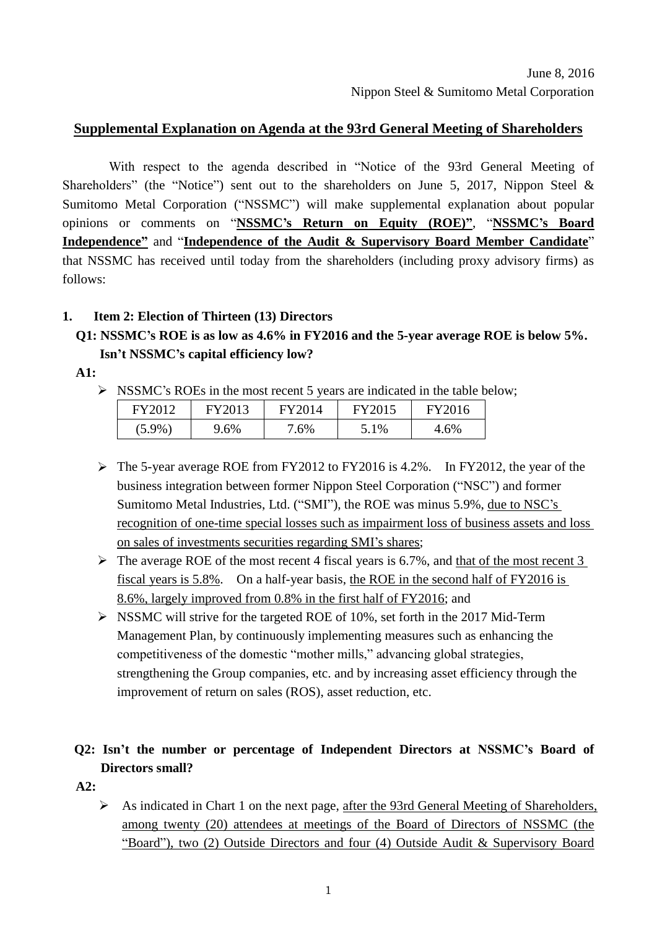#### **Supplemental Explanation on Agenda at the 93rd General Meeting of Shareholders**

With respect to the agenda described in "Notice of the 93rd General Meeting of Shareholders" (the "Notice") sent out to the shareholders on June 5, 2017, Nippon Steel & Sumitomo Metal Corporation ("NSSMC") will make supplemental explanation about popular opinions or comments on "**NSSMC's Return on Equity (ROE)"**, "**NSSMC's Board Independence"** and "**Independence of the Audit & Supervisory Board Member Candidate**" that NSSMC has received until today from the shareholders (including proxy advisory firms) as follows:

#### **1. Item 2: Election of Thirteen (13) Directors**

## **Q1: NSSMC's ROE is as low as 4.6% in FY2016 and the 5-year average ROE is below 5%. Isn't NSSMC's capital efficiency low?**

**A1:**

 $\triangleright$  NSSMC's ROEs in the most recent 5 years are indicated in the table below;

| FY2012    | <b>FY2013</b> | FY2014 | FY2015 | FY2016 |
|-----------|---------------|--------|--------|--------|
| $(5.9\%)$ | 9.6%          | 6%     | 5.1%   | 4.6%   |

- $\triangleright$  The 5-year average ROE from FY2012 to FY2016 is 4.2%. In FY2012, the year of the business integration between former Nippon Steel Corporation ("NSC") and former Sumitomo Metal Industries, Ltd. ("SMI"), the ROE was minus 5.9%, due to NSC's recognition of one-time special losses such as impairment loss of business assets and loss on sales of investments securities regarding SMI's shares;
- $\triangleright$  The average ROE of the most recent 4 fiscal years is 6.7%, and that of the most recent 3 fiscal years is 5.8%. On a half-year basis, the ROE in the second half of FY2016 is 8.6%, largely improved from 0.8% in the first half of FY2016; and
- $\triangleright$  NSSMC will strive for the targeted ROE of 10%, set forth in the 2017 Mid-Term Management Plan, by continuously implementing measures such as enhancing the competitiveness of the domestic "mother mills," advancing global strategies, strengthening the Group companies, etc. and by increasing asset efficiency through the improvement of return on sales (ROS), asset reduction, etc.

## **Q2: Isn't the number or percentage of Independent Directors at NSSMC's Board of Directors small?**

**A2:**

 As indicated in Chart 1 on the next page, after the 93rd General Meeting of Shareholders, among twenty (20) attendees at meetings of the Board of Directors of NSSMC (the "Board"), two (2) Outside Directors and four (4) Outside Audit & Supervisory Board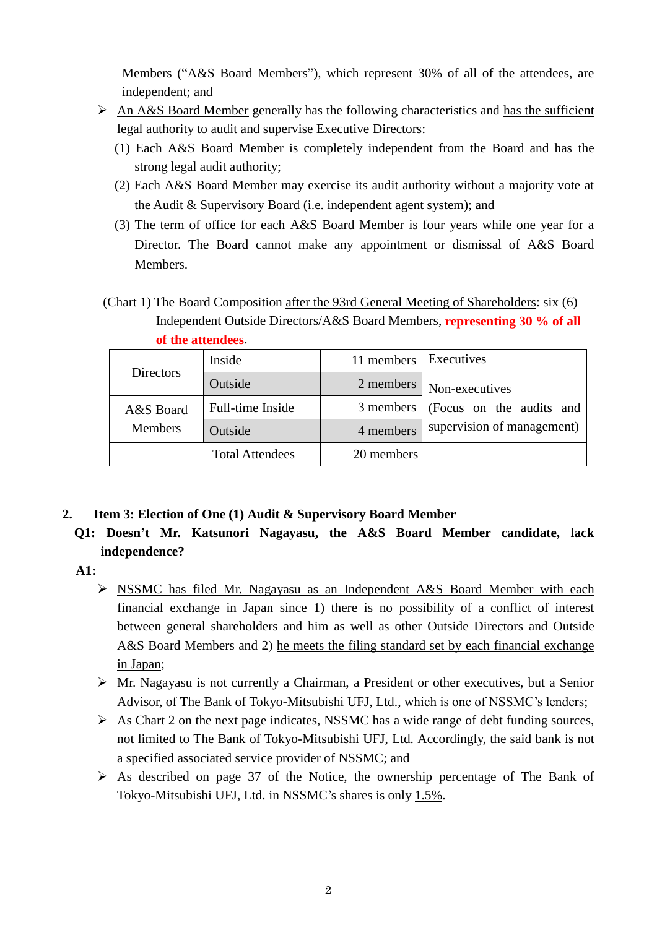Members ("A&S Board Members"), which represent 30% of all of the attendees, are independent; and

- $\triangleright$  An A&S Board Member generally has the following characteristics and has the sufficient legal authority to audit and supervise Executive Directors:
	- (1) Each A&S Board Member is completely independent from the Board and has the strong legal audit authority;
	- (2) Each A&S Board Member may exercise its audit authority without a majority vote at the Audit & Supervisory Board (i.e. independent agent system); and
	- (3) The term of office for each A&S Board Member is four years while one year for a Director. The Board cannot make any appointment or dismissal of A&S Board Members.
- (Chart 1) The Board Composition after the 93rd General Meeting of Shareholders: six (6) Independent Outside Directors/A&S Board Members, **representing 30 % of all of the attendees**.

| <b>Directors</b> | Inside                 | 11 members | Executives                                                               |  |
|------------------|------------------------|------------|--------------------------------------------------------------------------|--|
|                  | Outside                | 2 members  | Non-executives<br>(Focus on the audits and<br>supervision of management) |  |
| A&S Board        | Full-time Inside       | 3 members  |                                                                          |  |
| <b>Members</b>   | Outside                | 4 members  |                                                                          |  |
|                  | <b>Total Attendees</b> | 20 members |                                                                          |  |

- **2. Item 3: Election of One (1) Audit & Supervisory Board Member**
	- **Q1: Doesn't Mr. Katsunori Nagayasu, the A&S Board Member candidate, lack independence?**

**A1:**

- NSSMC has filed Mr. Nagayasu as an Independent A&S Board Member with each financial exchange in Japan since 1) there is no possibility of a conflict of interest between general shareholders and him as well as other Outside Directors and Outside A&S Board Members and 2) he meets the filing standard set by each financial exchange in Japan;
- $\triangleright$  Mr. Nagayasu is not currently a Chairman, a President or other executives, but a Senior Advisor, of The Bank of Tokyo-Mitsubishi UFJ, Ltd., which is one of NSSMC's lenders;
- $\triangleright$  As Chart 2 on the next page indicates, NSSMC has a wide range of debt funding sources, not limited to The Bank of Tokyo-Mitsubishi UFJ, Ltd. Accordingly, the said bank is not a specified associated service provider of NSSMC; and
- $\triangleright$  As described on page 37 of the Notice, the ownership percentage of The Bank of Tokyo-Mitsubishi UFJ, Ltd. in NSSMC's shares is only 1.5%.